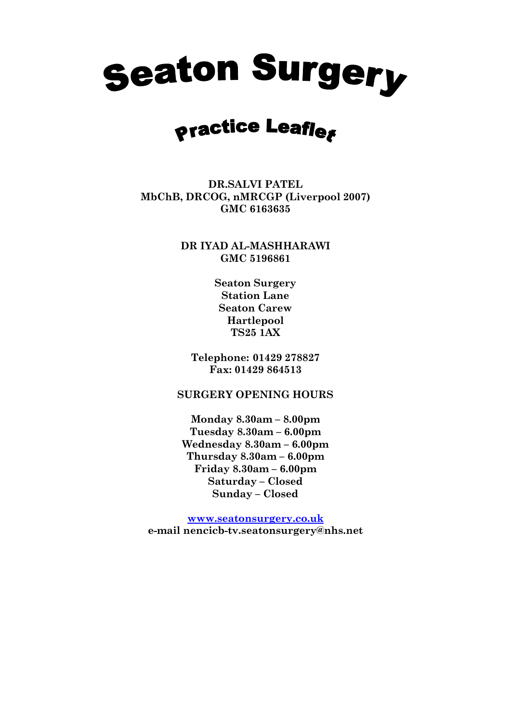

# **Practice Leafles**

**DR.SALVI PATEL MbChB, DRCOG, nMRCGP (Liverpool 2007) GMC 6163635**

> **DR IYAD AL-MASHHARAWI GMC 5196861**

> > **Seaton Surgery Station Lane Seaton Carew Hartlepool TS25 1AX**

**Telephone: 01429 278827 Fax: 01429 864513**

# **SURGERY OPENING HOURS**

**Monday 8.30am – 8.00pm Tuesday 8.30am – 6.00pm Wednesday 8.30am – 6.00pm Thursday 8.30am – 6.00pm Friday 8.30am – 6.00pm Saturday – Closed Sunday – Closed**

**[www.seatonsurgery.co.uk](http://www.seatonsurgery.co.uk/) e-mail nencicb-tv.seatonsurgery@nhs.net**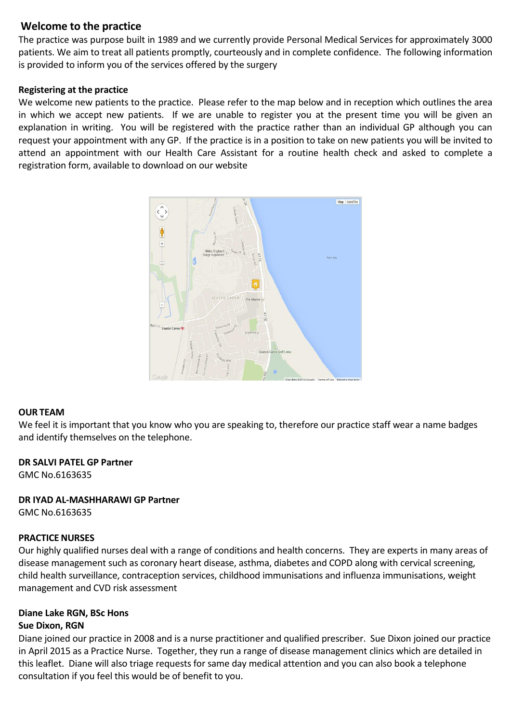# **Welcome to the practice**

The practice was purpose built in 1989 and we currently provide Personal Medical Services for approximately 3000 patients. We aim to treat all patients promptly, courteously and in complete confidence. The following information is provided to inform you of the services offered by the surgery

# **Registering at the practice**

We welcome new patients to the practice. Please refer to the map below and in reception which outlines the area in which we accept new patients. If we are unable to register you at the present time you will be given an explanation in writing. You will be registered with the practice rather than an individual GP although you can request your appointment with any GP. If the practice is in a position to take on new patients you will be invited to attend an appointment with our Health Care Assistant for a routine health check and asked to complete a registration form, available to download on our website



#### **OUR TEAM**

We feel it is important that you know who you are speaking to, therefore our practice staff wear a name badges and identify themselves on the telephone.

#### **DR SALVI PATEL GP Partner**

GMC No.6163635

# **DR IYAD AL-MASHHARAWI GP Partner**

GMC No.6163635

#### **PRACTICE NURSES**

Our highly qualified nurses deal with a range of conditions and health concerns. They are experts in many areas of disease management such as coronary heart disease, asthma, diabetes and COPD along with cervical screening, child health surveillance, contraception services, childhood immunisations and influenza immunisations, weight management and CVD risk assessment

# **Diane Lake RGN, BSc Hons**

# **Sue Dixon, RGN**

Diane joined our practice in 2008 and is a nurse practitioner and qualified prescriber. Sue Dixon joined our practice in April 2015 as a Practice Nurse. Together, they run a range of disease management clinics which are detailed in this leaflet. Diane will also triage requests for same day medical attention and you can also book a telephone consultation if you feel this would be of benefit to you.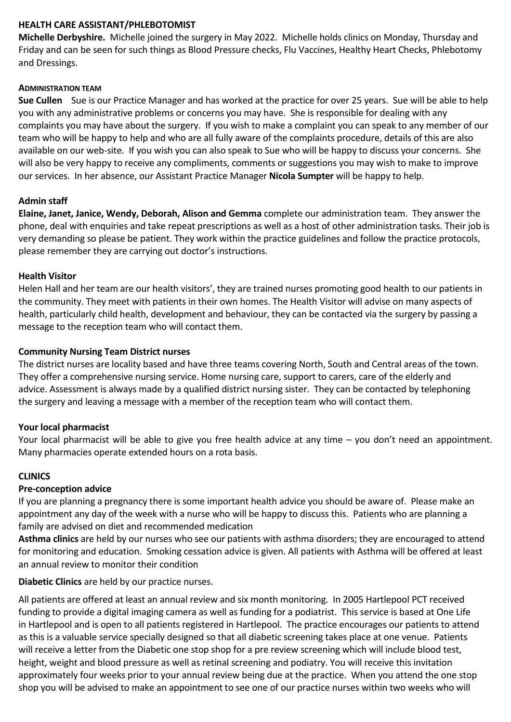# **HEALTH CARE ASSISTANT/PHLEBOTOMIST**

**Michelle Derbyshire.** Michelle joined the surgery in May 2022. Michelle holds clinics on Monday, Thursday and Friday and can be seen for such things as Blood Pressure checks, Flu Vaccines, Healthy Heart Checks, Phlebotomy and Dressings.

#### **ADMINISTRATION TEAM**

**Sue Cullen** Sue is our Practice Manager and has worked at the practice for over 25 years. Sue will be able to help you with any administrative problems or concerns you may have. She is responsible for dealing with any complaints you may have about the surgery. If you wish to make a complaint you can speak to any member of our team who will be happy to help and who are all fully aware of the complaints procedure, details of this are also available on our web-site. If you wish you can also speak to Sue who will be happy to discuss your concerns. She will also be very happy to receive any compliments, comments or suggestions you may wish to make to improve our services. In her absence, our Assistant Practice Manager **Nicola Sumpter** will be happy to help.

# **Admin staff**

**Elaine, Janet, Janice, Wendy, Deborah, Alison and Gemma** complete our administration team. They answer the phone, deal with enquiries and take repeat prescriptions as well as a host of other administration tasks. Their job is very demanding so please be patient. They work within the practice guidelines and follow the practice protocols, please remember they are carrying out doctor's instructions.

# **Health Visitor**

Helen Hall and her team are our health visitors', they are trained nurses promoting good health to our patients in the community. They meet with patients in their own homes. The Health Visitor will advise on many aspects of health, particularly child health, development and behaviour, they can be contacted via the surgery by passing a message to the reception team who will contact them.

# **Community Nursing Team District nurses**

The district nurses are locality based and have three teams covering North, South and Central areas of the town. They offer a comprehensive nursing service. Home nursing care, support to carers, care of the elderly and advice. Assessment is always made by a qualified district nursing sister. They can be contacted by telephoning the surgery and leaving a message with a member of the reception team who will contact them.

#### **Your local pharmacist**

Your local pharmacist will be able to give you free health advice at any time – you don't need an appointment. Many pharmacies operate extended hours on a rota basis.

#### **CLINICS**

#### **Pre-conception advice**

If you are planning a pregnancy there is some important health advice you should be aware of. Please make an appointment any day of the week with a nurse who will be happy to discuss this. Patients who are planning a family are advised on diet and recommended medication

**Asthma clinics** are held by our nurses who see our patients with asthma disorders; they are encouraged to attend for monitoring and education. Smoking cessation advice is given. All patients with Asthma will be offered at least an annual review to monitor their condition

**Diabetic Clinics** are held by our practice nurses.

All patients are offered at least an annual review and six month monitoring. In 2005 Hartlepool PCT received funding to provide a digital imaging camera as well as funding for a podiatrist. This service is based at One Life in Hartlepool and is open to all patients registered in Hartlepool. The practice encourages our patients to attend as this is a valuable service specially designed so that all diabetic screening takes place at one venue. Patients will receive a letter from the Diabetic one stop shop for a pre review screening which will include blood test, height, weight and blood pressure as well as retinal screening and podiatry. You will receive this invitation approximately four weeks prior to your annual review being due at the practice. When you attend the one stop shop you will be advised to make an appointment to see one of our practice nurses within two weeks who will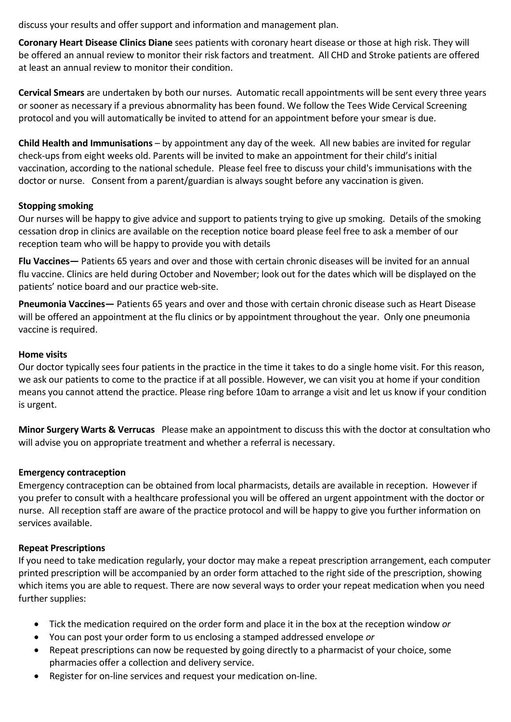discuss your results and offer support and information and management plan.

**Coronary Heart Disease Clinics Diane** sees patients with coronary heart disease or those at high risk. They will be offered an annual review to monitor their risk factors and treatment. All CHD and Stroke patients are offered at least an annual review to monitor their condition.

**Cervical Smears** are undertaken by both our nurses. Automatic recall appointments will be sent every three years or sooner as necessary if a previous abnormality has been found. We follow the Tees Wide Cervical Screening protocol and you will automatically be invited to attend for an appointment before your smear is due.

**Child Health and Immunisations** – by appointment any day of the week. All new babies are invited for regular check-ups from eight weeks old. Parents will be invited to make an appointment for their child's initial vaccination, according to the national schedule. Please feel free to discuss your child's immunisations with the doctor or nurse. Consent from a parent/guardian is always sought before any vaccination is given.

# **Stopping smoking**

Our nurses will be happy to give advice and support to patients trying to give up smoking. Details of the smoking cessation drop in clinics are available on the reception notice board please feel free to ask a member of our reception team who will be happy to provide you with details

**Flu Vaccines—** Patients 65 years and over and those with certain chronic diseases will be invited for an annual flu vaccine. Clinics are held during October and November; look out for the dates which will be displayed on the patients' notice board and our practice web-site.

**Pneumonia Vaccines—** Patients 65 years and over and those with certain chronic disease such as Heart Disease will be offered an appointment at the flu clinics or by appointment throughout the year. Only one pneumonia vaccine is required.

# **Home visits**

Our doctor typically sees four patients in the practice in the time it takes to do a single home visit. For this reason, we ask our patients to come to the practice if at all possible. However, we can visit you at home if your condition means you cannot attend the practice. Please ring before 10am to arrange a visit and let us know if your condition is urgent.

**Minor Surgery Warts & Verrucas** Please make an appointment to discuss this with the doctor at consultation who will advise you on appropriate treatment and whether a referral is necessary.

#### **Emergency contraception**

Emergency contraception can be obtained from local pharmacists, details are available in reception. However if you prefer to consult with a healthcare professional you will be offered an urgent appointment with the doctor or nurse. All reception staff are aware of the practice protocol and will be happy to give you further information on services available.

# **Repeat Prescriptions**

If you need to take medication regularly, your doctor may make a repeat prescription arrangement, each computer printed prescription will be accompanied by an order form attached to the right side of the prescription, showing which items you are able to request. There are now several ways to order your repeat medication when you need further supplies:

- Tick the medication required on the order form and place it in the box at the reception window *or*
- You can post your order form to us enclosing a stamped addressed envelope *or*
- Repeat prescriptions can now be requested by going directly to a pharmacist of your choice, some pharmacies offer a collection and delivery service.
- Register for on-line services and request your medication on-line.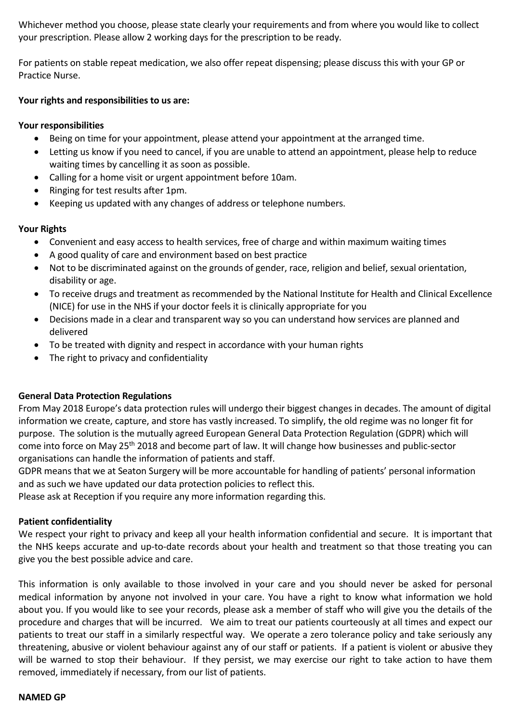Whichever method you choose, please state clearly your requirements and from where you would like to collect your prescription. Please allow 2 working days for the prescription to be ready.

For patients on stable repeat medication, we also offer repeat dispensing; please discuss this with your GP or Practice Nurse.

# **Your rights and responsibilities to us are:**

# **Your responsibilities**

- Being on time for your appointment, please attend your appointment at the arranged time.
- Letting us know if you need to cancel, if you are unable to attend an appointment, please help to reduce waiting times by cancelling it as soon as possible.
- Calling for a home visit or urgent appointment before 10am.
- Ringing for test results after 1pm.
- Keeping us updated with any changes of address or telephone numbers.

#### **Your Rights**

- Convenient and easy access to health services, free of charge and within maximum waiting times
- A good quality of care and environment based on best practice
- Not to be discriminated against on the grounds of gender, race, religion and belief, sexual orientation, disability or age.
- To receive drugs and treatment as recommended by the National Institute for Health and Clinical Excellence (NICE) for use in the NHS if your doctor feels it is clinically appropriate for you
- Decisions made in a clear and transparent way so you can understand how services are planned and delivered
- To be treated with dignity and respect in accordance with your human rights
- The right to privacy and confidentiality

#### **General Data Protection Regulations**

From May 2018 Europe's data protection rules will undergo their biggest changes in decades. The amount of digital information we create, capture, and store has vastly increased. To simplify, the old regime was no longer fit for purpose. The solution is the mutually agreed European General Data Protection Regulation (GDPR) which will come into force on May 25th 2018 and become part of law. It will change how businesses and public-sector organisations can handle the information of patients and staff.

GDPR means that we at Seaton Surgery will be more accountable for handling of patients' personal information and as such we have updated our data protection policies to reflect this.

Please ask at Reception if you require any more information regarding this.

#### **Patient confidentiality**

We respect your right to privacy and keep all your health information confidential and secure. It is important that the NHS keeps accurate and up-to-date records about your health and treatment so that those treating you can give you the best possible advice and care.

This information is only available to those involved in your care and you should never be asked for personal medical information by anyone not involved in your care. You have a right to know what information we hold about you. If you would like to see your records, please ask a member of staff who will give you the details of the procedure and charges that will be incurred. We aim to treat our patients courteously at all times and expect our patients to treat our staff in a similarly respectful way. We operate a zero tolerance policy and take seriously any threatening, abusive or violent behaviour against any of our staff or patients. If a patient is violent or abusive they will be warned to stop their behaviour. If they persist, we may exercise our right to take action to have them removed, immediately if necessary, from our list of patients.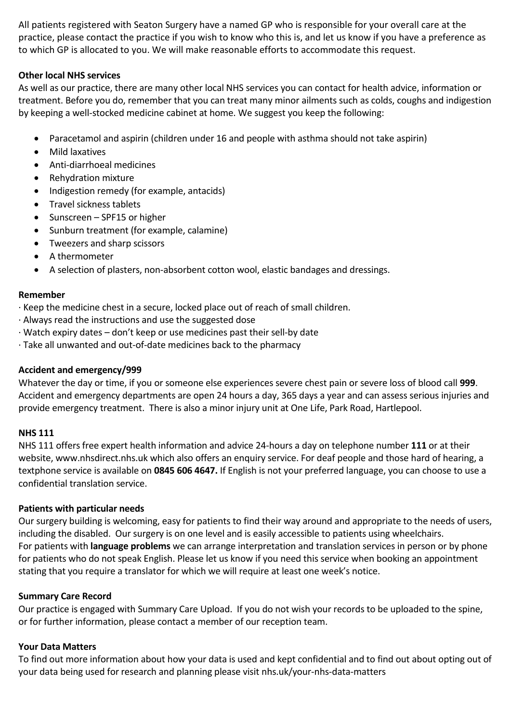All patients registered with Seaton Surgery have a named GP who is responsible for your overall care at the practice, please contact the practice if you wish to know who this is, and let us know if you have a preference as to which GP is allocated to you. We will make reasonable efforts to accommodate this request.

# **Other local NHS services**

As well as our practice, there are many other local NHS services you can contact for health advice, information or treatment. Before you do, remember that you can treat many minor ailments such as colds, coughs and indigestion by keeping a well-stocked medicine cabinet at home. We suggest you keep the following:

- Paracetamol and aspirin (children under 16 and people with asthma should not take aspirin)
- Mild laxatives
- Anti-diarrhoeal medicines
- Rehydration mixture
- Indigestion remedy (for example, antacids)
- Travel sickness tablets
- Sunscreen SPF15 or higher
- Sunburn treatment (for example, calamine)
- Tweezers and sharp scissors
- A thermometer
- A selection of plasters, non-absorbent cotton wool, elastic bandages and dressings.

# **Remember**

- · Keep the medicine chest in a secure, locked place out of reach of small children.
- · Always read the instructions and use the suggested dose
- · Watch expiry dates don't keep or use medicines past their sell-by date
- · Take all unwanted and out-of-date medicines back to the pharmacy

# **Accident and emergency/999**

Whatever the day or time, if you or someone else experiences severe chest pain or severe loss of blood call **999**. Accident and emergency departments are open 24 hours a day, 365 days a year and can assess serious injuries and provide emergency treatment. There is also a minor injury unit at One Life, Park Road, Hartlepool.

# **NHS 111**

NHS 111 offers free expert health information and advice 24-hours a day on telephone number **111** or at their website, www.nhsdirect.nhs.uk which also offers an enquiry service. For deaf people and those hard of hearing, a textphone service is available on **0845 606 4647.** If English is not your preferred language, you can choose to use a confidential translation service.

#### **Patients with particular needs**

Our surgery building is welcoming, easy for patients to find their way around and appropriate to the needs of users, including the disabled. Our surgery is on one level and is easily accessible to patients using wheelchairs. For patients with **language problems** we can arrange interpretation and translation services in person or by phone for patients who do not speak English. Please let us know if you need this service when booking an appointment stating that you require a translator for which we will require at least one week's notice.

# **Summary Care Record**

Our practice is engaged with Summary Care Upload. If you do not wish your records to be uploaded to the spine, or for further information, please contact a member of our reception team.

#### **Your Data Matters**

To find out more information about how your data is used and kept confidential and to find out about opting out of your data being used for research and planning please visit nhs.uk/your-nhs-data-matters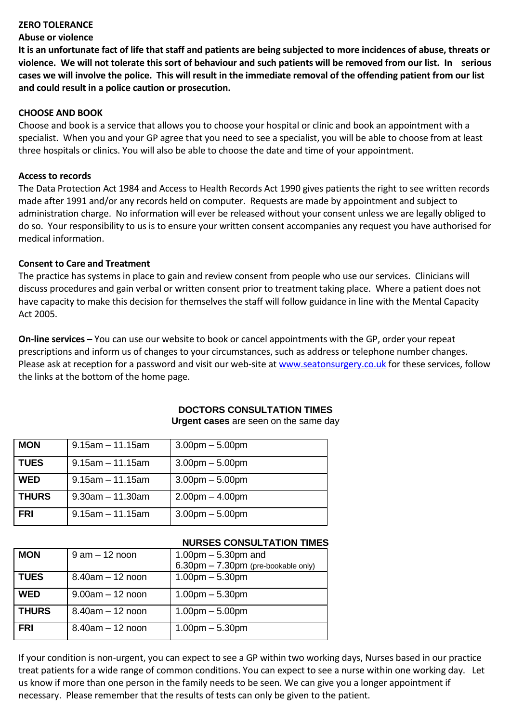#### **ZERO TOLERANCE**

# **Abuse or violence**

**It is an unfortunate fact of life that staff and patients are being subjected to more incidences of abuse, threats or violence. We will not tolerate this sort of behaviour and such patients will be removed from our list. In serious cases we will involve the police. This will result in the immediate removal of the offending patient from our list and could result in a police caution or prosecution.**

# **CHOOSE AND BOOK**

Choose and book is a service that allows you to choose your hospital or clinic and book an appointment with a specialist. When you and your GP agree that you need to see a specialist, you will be able to choose from at least three hospitals or clinics. You will also be able to choose the date and time of your appointment.

#### **Access to records**

The Data Protection Act 1984 and Access to Health Records Act 1990 gives patients the right to see written records made after 1991 and/or any records held on computer. Requests are made by appointment and subject to administration charge. No information will ever be released without your consent unless we are legally obliged to do so. Your responsibility to us is to ensure your written consent accompanies any request you have authorised for medical information.

# **Consent to Care and Treatment**

The practice has systems in place to gain and review consent from people who use our services. Clinicians will discuss procedures and gain verbal or written consent prior to treatment taking place. Where a patient does not have capacity to make this decision for themselves the staff will follow guidance in line with the Mental Capacity Act 2005.

**On-line services –** You can use our website to book or cancel appointments with the GP, order your repeat prescriptions and inform us of changes to your circumstances, such as address or telephone number changes. Please ask at reception for a password and visit our web-site at [www.seatonsurgery.co.uk](http://www.seatonsurgery.co.uk/) for these services, follow the links at the bottom of the home page.

| <b>MON</b>   | $9.15$ am $-11.15$ am | $3.00pm - 5.00pm$     |
|--------------|-----------------------|-----------------------|
| <b>TUES</b>  | $9.15$ am $-11.15$ am | $3.00pm - 5.00pm$     |
| <b>WED</b>   | $9.15$ am $-11.15$ am | $3.00$ pm $- 5.00$ pm |
| <b>THURS</b> | $9.30$ am $-11.30$ am | $2.00pm - 4.00pm$     |
| <b>FRI</b>   | $9.15$ am $-11.15$ am | $3.00$ pm $- 5.00$ pm |

# **DOCTORS CONSULTATION TIMES**

**Urgent cases** are seen on the same day

# **NURSES CONSULTATION TIMES**

| <b>MON</b>   | $9$ am $-12$ noon    | $1.00$ pm $-5.30$ pm and            |
|--------------|----------------------|-------------------------------------|
|              |                      | 6.30pm - 7.30pm (pre-bookable only) |
| <b>TUES</b>  | $8.40$ am $-12$ noon | $1.00pm - 5.30pm$                   |
| <b>WED</b>   | $9.00am - 12$ noon   | $1.00$ pm $-5.30$ pm                |
| <b>THURS</b> | $8.40$ am $-12$ noon | $1.00pm - 5.00pm$                   |
| <b>FRI</b>   | $8.40am - 12$ noon   | $1.00pm - 5.30pm$                   |

If your condition is non-urgent, you can expect to see a GP within two working days, Nurses based in our practice treat patients for a wide range of common conditions. You can expect to see a nurse within one working day. Let us know if more than one person in the family needs to be seen. We can give you a longer appointment if necessary. Please remember that the results of tests can only be given to the patient.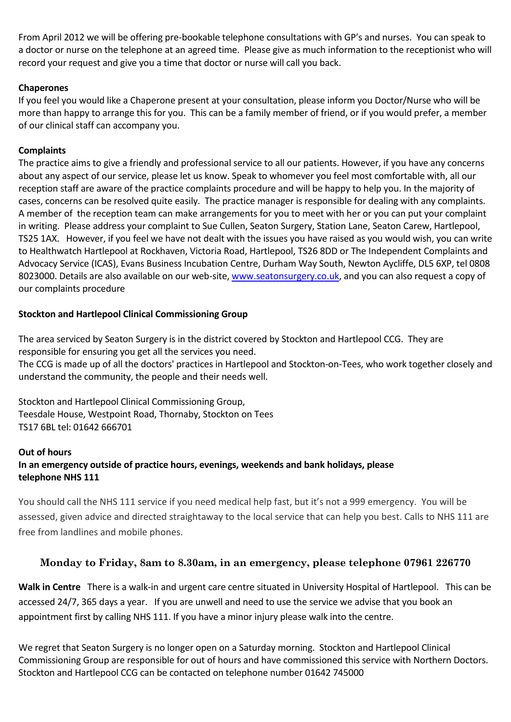From April 2012 we will be offering pre-bookable telephone consultations with GP's and nurses. You can speak to a doctor or nurse on the telephone at an agreed time. Please give as much information to the receptionist who will record your request and give you a time that doctor or nurse will call you back.

# **Chaperones**

If you feel you would like a Chaperone present at your consultation, please inform you Doctor/Nurse who will be more than happy to arrange this for you. This can be a family member of friend, or if you would prefer, a member of our clinical staff can accompany you.

# **Complaints**

The practice aims to give a friendly and professional service to all our patients. However, if you have any concerns about any aspect of our service, please let us know. Speak to whomever you feel most comfortable with, all our reception staff are aware of the practice complaints procedure and will be happy to help you. In the majority of cases, concerns can be resolved quite easily. The practice manager is responsible for dealing with any complaints. A member of the reception team can make arrangements for you to meet with her or you can put your complaint in writing. Please address your complaint to Sue Cullen, Seaton Surgery, Station Lane, Seaton Carew, Hartlepool, TS25 1AX. However, if you feel we have not dealt with the issues you have raised as you would wish, you can write to Healthwatch Hartlepool at Rockhaven, Victoria Road, Hartlepool, TS26 8DD or The Independent Complaints and Advocacy Service (ICAS), Evans Business Incubation Centre, Durham Way South, Newton Aycliffe, DL5 6XP, tel 0808 8023000. Details are also available on our web-site, [www.seatonsurgery.co.uk,](http://www.seatonsurgery.co.uk/) and you can also request a copy of our complaints procedure

# **Stockton and Hartlepool Clinical Commissioning Group**

The area serviced by Seaton Surgery is in the district covered by Stockton and Hartlepool CCG. They are responsible for ensuring you get all the services you need. The CCG is made up of all the doctors' practices in Hartlepool and Stockton-on-Tees, who work together closely and understand the community, the people and their needs well.

Stockton and Hartlepool Clinical Commissioning Group, Teesdale House, Westpoint Road, Thornaby, Stockton on Tees TS17 6BL tel: 01642 666701

# **Out of hours**

# **In an emergency outside of practice hours, evenings, weekends and bank holidays, please telephone NHS 111**

You should call the NHS 111 service if you need medical help fast, but it's not a 999 emergency. You will be assessed, given advice and directed straightaway to the local service that can help you best. Calls to NHS 111 are free from landlines and mobile phones.

# **Monday to Friday, 8am to 8.30am, in an emergency, please telephone 07961 226770**

**Walk in Centre** There is a walk-in and urgent care centre situated in University Hospital of Hartlepool. This can be accessed 24/7, 365 days a year. If you are unwell and need to use the service we advise that you book an appointment first by calling NHS 111. If you have a minor injury please walk into the centre.

We regret that Seaton Surgery is no longer open on a Saturday morning. Stockton and Hartlepool Clinical Commissioning Group are responsible for out of hours and have commissioned this service with Northern Doctors. Stockton and Hartlepool CCG can be contacted on telephone number 01642 745000